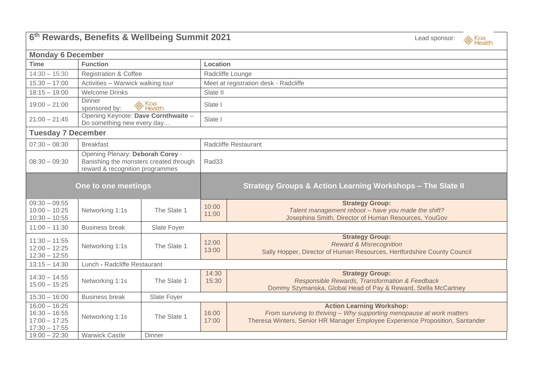| 6th Rewards, Benefits & Wellbeing Summit 2021<br>Lead sponsor:<br><sup><sup><i>⊗</i></sup> Health</sup> |                                                                                                               |             |                                                                       |                                                                                                                                                                                            |  |  |  |  |
|---------------------------------------------------------------------------------------------------------|---------------------------------------------------------------------------------------------------------------|-------------|-----------------------------------------------------------------------|--------------------------------------------------------------------------------------------------------------------------------------------------------------------------------------------|--|--|--|--|
| <b>Monday 6 December</b>                                                                                |                                                                                                               |             |                                                                       |                                                                                                                                                                                            |  |  |  |  |
| <b>Time</b>                                                                                             | <b>Function</b>                                                                                               |             | Location                                                              |                                                                                                                                                                                            |  |  |  |  |
| $14:30 - 15:30$                                                                                         | <b>Registration &amp; Coffee</b>                                                                              |             | Radcliffe Lounge                                                      |                                                                                                                                                                                            |  |  |  |  |
| $15.30 - 17:00$                                                                                         | Activities - Warwick walking tour                                                                             |             | Meet at registration desk - Radcliffe                                 |                                                                                                                                                                                            |  |  |  |  |
| $18:15 - 19:00$                                                                                         | <b>Welcome Drinks</b>                                                                                         |             | Slate II                                                              |                                                                                                                                                                                            |  |  |  |  |
| $19:00 - 21:00$                                                                                         | <b>Dinner</b><br><sup>⊗</sup> Koa<br><sup>⊗</sup> Health<br>sponsored by:                                     |             | Slate I                                                               |                                                                                                                                                                                            |  |  |  |  |
| $21:00 - 21:45$                                                                                         | Opening Keynote: Dave Cornthwaite -<br>Do something new every day                                             |             | Slate I                                                               |                                                                                                                                                                                            |  |  |  |  |
| <b>Tuesday 7 December</b>                                                                               |                                                                                                               |             |                                                                       |                                                                                                                                                                                            |  |  |  |  |
| $07:30 - 08:30$                                                                                         | <b>Breakfast</b>                                                                                              |             | <b>Radcliffe Restaurant</b>                                           |                                                                                                                                                                                            |  |  |  |  |
| $08:30 - 09:30$                                                                                         | Opening Plenary: Deborah Corey -<br>Banishing the monsters created through<br>reward & recognition programmes |             | Rad33                                                                 |                                                                                                                                                                                            |  |  |  |  |
| One to one meetings                                                                                     |                                                                                                               |             | <b>Strategy Groups &amp; Action Learning Workshops - The Slate II</b> |                                                                                                                                                                                            |  |  |  |  |
| $09:30 - 09:55$<br>$10:00 - 10:25$<br>$10:30 - 10:55$                                                   | Networking 1:1s                                                                                               | The Slate 1 | 10:00<br>11:00                                                        | <b>Strategy Group:</b><br>Talent management reboot - have you made the shift?<br>Josephina Smith, Director of Human Resources, YouGov                                                      |  |  |  |  |
| $11:00 - 11:30$                                                                                         | <b>Business break</b>                                                                                         | Slate Foyer |                                                                       |                                                                                                                                                                                            |  |  |  |  |
| $11:30 - 11:55$<br>$12:00 - 12:25$<br>$12:30 - 12:55$                                                   | Networking 1:1s                                                                                               | The Slate 1 | 12:00<br>13:00                                                        | <b>Strategy Group:</b><br><b>Reward &amp; Misrecognition</b><br>Sally Hopper, Director of Human Resources, Hertfordshire County Council                                                    |  |  |  |  |
| $13:15 - 14:30$                                                                                         | Lunch - Radcliffe Restaurant                                                                                  |             |                                                                       |                                                                                                                                                                                            |  |  |  |  |
| $14:30 - 14:55$<br>$15:00 - 15:25$                                                                      | Networking 1:1s                                                                                               | The Slate 1 | 14:30<br>15:30                                                        | <b>Strategy Group:</b><br>Responsible Rewards, Transformation & Feedback<br>Dommy Szymanska, Global Head of Pay & Reward, Stella McCartney                                                 |  |  |  |  |
| $15:30 - 16:00$                                                                                         | <b>Business break</b>                                                                                         | Slate Foyer |                                                                       |                                                                                                                                                                                            |  |  |  |  |
| $16:00 - 16:25$<br>$16:30 - 16:55$<br>$17:00 - 17:25$<br>$17:30 - 17:55$                                | Networking 1:1s                                                                                               | The Slate 1 | 16:00<br>17:00                                                        | <b>Action Learning Workshop:</b><br>From surviving to thriving - Why supporting menopause at work matters<br>Theresa Winters, Senior HR Manager Employee Experience Proposition, Santander |  |  |  |  |
| $19:00 - 22:30$                                                                                         | <b>Warwick Castle</b>                                                                                         | Dinner      |                                                                       |                                                                                                                                                                                            |  |  |  |  |